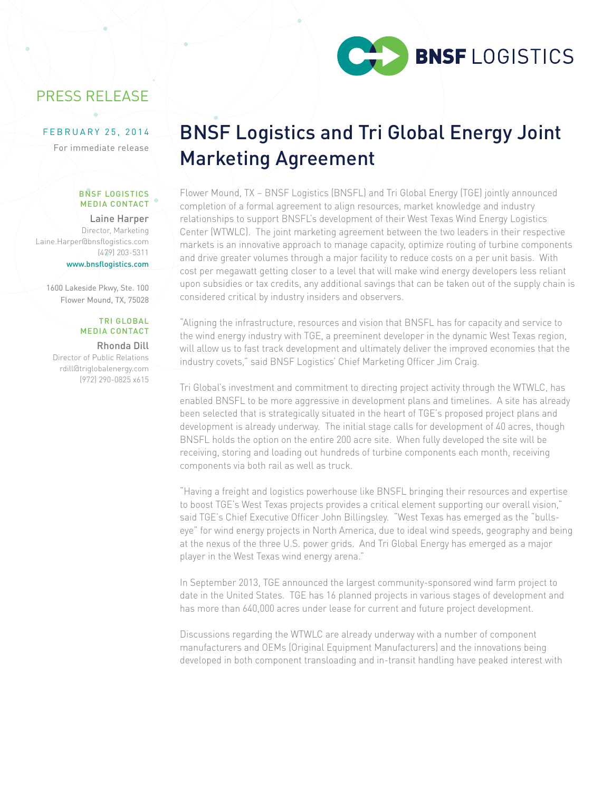

# PRESS RELEASE

## FEBRUARY 25, 2014

For immediate release

#### BNSF LOGISTICS MEDIA CONTACT

Laine Harper Director, Marketing Laine.Harper@bnsflogistics.com (479) 203-5311 www.bnsflogistics.com

1600 Lakeside Pkwy, Ste. 100 Flower Mound, TX, 75028

## TRI GLOBAL MEDIA CONTACT

Rhonda Dill Director of Public Relations rdill@triglobalenergy.com (972) 290-0825 x615

# BNSF Logistics and Tri Global Energy Joint Marketing Agreement

Flower Mound, TX – BNSF Logistics (BNSFL) and Tri Global Energy (TGE) jointly announced completion of a formal agreement to align resources, market knowledge and industry relationships to support BNSFL's development of their West Texas Wind Energy Logistics Center (WTWLC). The joint marketing agreement between the two leaders in their respective markets is an innovative approach to manage capacity, optimize routing of turbine components and drive greater volumes through a major facility to reduce costs on a per unit basis. With cost per megawatt getting closer to a level that will make wind energy developers less reliant upon subsidies or tax credits, any additional savings that can be taken out of the supply chain is considered critical by industry insiders and observers.

"Aligning the infrastructure, resources and vision that BNSFL has for capacity and service to the wind energy industry with TGE, a preeminent developer in the dynamic West Texas region, will allow us to fast track development and ultimately deliver the improved economies that the industry covets," said BNSF Logistics' Chief Marketing Officer Jim Craig.

Tri Global's investment and commitment to directing project activity through the WTWLC, has enabled BNSFL to be more aggressive in development plans and timelines. A site has already been selected that is strategically situated in the heart of TGE's proposed project plans and development is already underway. The initial stage calls for development of 40 acres, though BNSFL holds the option on the entire 200 acre site. When fully developed the site will be receiving, storing and loading out hundreds of turbine components each month, receiving components via both rail as well as truck.

"Having a freight and logistics powerhouse like BNSFL bringing their resources and expertise to boost TGE's West Texas projects provides a critical element supporting our overall vision," said TGE's Chief Executive Officer John Billingsley. "West Texas has emerged as the "bullseye" for wind energy projects in North America, due to ideal wind speeds, geography and being at the nexus of the three U.S. power grids. And Tri Global Energy has emerged as a major player in the West Texas wind energy arena."

In September 2013, TGE announced the largest community-sponsored wind farm project to date in the United States. TGE has 16 planned projects in various stages of development and has more than 640,000 acres under lease for current and future project development.

Discussions regarding the WTWLC are already underway with a number of component manufacturers and OEMs (Original Equipment Manufacturers) and the innovations being developed in both component transloading and in-transit handling have peaked interest with